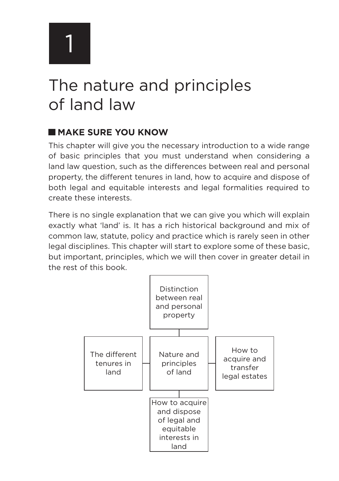1

# The nature and principles of land law

# **MAKE SURE YOU KNOW**

This chapter will give you the necessary introduction to a wide range of basic principles that you must understand when considering a land law question, such as the differences between real and personal property, the different tenures in land, how to acquire and dispose of both legal and equitable interests and legal formalities required to create these interests.

There is no single explanation that we can give you which will explain exactly what 'land' is. It has a rich historical background and mix of common law, statute, policy and practice which is rarely seen in other legal disciplines. This chapter will start to explore some of these basic, but important, principles, which we will then cover in greater detail in the rest of this book.

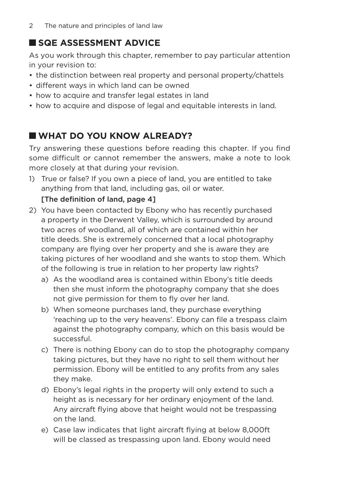# **SQE ASSESSMENT ADVICE**

As you work through this chapter, remember to pay particular attention in your revision to:

- the distinction between real property and personal property/chattels
- different ways in which land can be owned
- how to acquire and transfer legal estates in land
- how to acquire and dispose of legal and equitable interests in land.

# **WHAT DO YOU KNOW ALREADY?**

Try answering these questions before reading this chapter. If you find some difficult or cannot remember the answers, make a note to look more closely at that during your revision.

1) True or false? If you own a piece of land, you are entitled to take anything from that land, including gas, oil or water.

# [The definition of land, page 4]

- 2) You have been contacted by Ebony who has recently purchased a property in the Derwent Valley, which is surrounded by around two acres of woodland, all of which are contained within her title deeds. She is extremely concerned that a local photography company are flying over her property and she is aware they are taking pictures of her woodland and she wants to stop them. Which of the following is true in relation to her property law rights?
	- a) As the woodland area is contained within Ebony's title deeds then she must inform the photography company that she does not give permission for them to fly over her land.
	- b) When someone purchases land, they purchase everything 'reaching up to the very heavens'. Ebony can file a trespass claim against the photography company, which on this basis would be successful.
	- c) There is nothing Ebony can do to stop the photography company taking pictures, but they have no right to sell them without her permission. Ebony will be entitled to any profits from any sales they make.
	- d) Ebony's legal rights in the property will only extend to such a height as is necessary for her ordinary enjoyment of the land. Any aircraft flying above that height would not be trespassing on the land.
	- e) Case law indicates that light aircraft flying at below 8,000ft will be classed as trespassing upon land. Ebony would need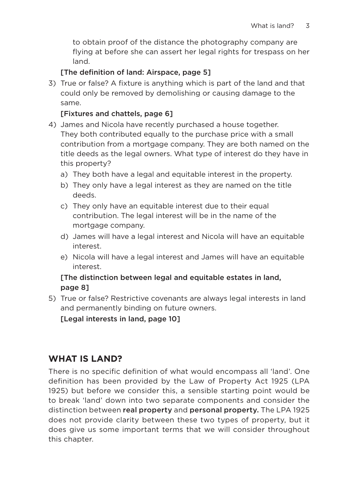to obtain proof of the distance the photography company are flying at before she can assert her legal rights for trespass on her land.

## [The definition of land: Airspace, page 5]

3) True or false? A fixture is anything which is part of the land and that could only be removed by demolishing or causing damage to the same.

#### [Fixtures and chattels, page 6]

- 4) James and Nicola have recently purchased a house together. They both contributed equally to the purchase price with a small contribution from a mortgage company. They are both named on the title deeds as the legal owners. What type of interest do they have in this property?
	- a) They both have a legal and equitable interest in the property.
	- b) They only have a legal interest as they are named on the title deeds.
	- c) They only have an equitable interest due to their equal contribution. The legal interest will be in the name of the mortgage company.
	- d) James will have a legal interest and Nicola will have an equitable interest.
	- e) Nicola will have a legal interest and James will have an equitable interest.

# [The distinction between legal and equitable estates in land, page 8]

5) True or false? Restrictive covenants are always legal interests in land and permanently binding on future owners.

[Legal interests in land, page 10]

# **WHAT IS LAND?**

There is no specific definition of what would encompass all 'land'. One definition has been provided by the Law of Property Act 1925 (LPA 1925) but before we consider this, a sensible starting point would be to break 'land' down into two separate components and consider the distinction between real property and personal property. The LPA 1925 does not provide clarity between these two types of property, but it does give us some important terms that we will consider throughout this chapter.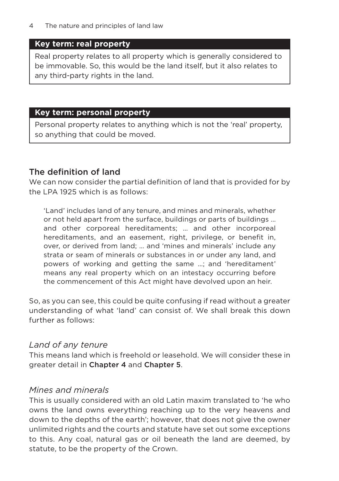# **Key term: real property**

Real property relates to all property which is generally considered to be immovable. So, this would be the land itself, but it also relates to any third-party rights in the land.

# **Key term: personal property**

Personal property relates to anything which is not the 'real' property, so anything that could be moved.

# The definition of land

We can now consider the partial definition of land that is provided for by the LPA 1925 which is as follows:

'Land' includes land of any tenure, and mines and minerals, whether or not held apart from the surface, buildings or parts of buildings … and other corporeal hereditaments; … and other incorporeal hereditaments, and an easement, right, privilege, or benefit in, over, or derived from land; … and 'mines and minerals' include any strata or seam of minerals or substances in or under any land, and powers of working and getting the same …; and 'hereditament' means any real property which on an intestacy occurring before the commencement of this Act might have devolved upon an heir.

So, as you can see, this could be quite confusing if read without a greater understanding of what 'land' can consist of. We shall break this down further as follows:

# *Land of any tenure*

This means land which is freehold or leasehold. We will consider these in greater detail in Chapter 4 and Chapter 5.

# *Mines and minerals*

This is usually considered with an old Latin maxim translated to 'he who owns the land owns everything reaching up to the very heavens and down to the depths of the earth'; however, that does not give the owner unlimited rights and the courts and statute have set out some exceptions to this. Any coal, natural gas or oil beneath the land are deemed, by statute, to be the property of the Crown.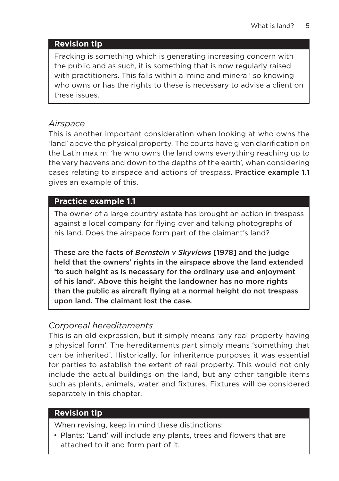#### **Revision tip**

Fracking is something which is generating increasing concern with the public and as such, it is something that is now regularly raised with practitioners. This falls within a 'mine and mineral' so knowing who owns or has the rights to these is necessary to advise a client on these issues.

## *Airspace*

This is another important consideration when looking at who owns the 'land' above the physical property. The courts have given clarification on the Latin maxim: 'he who owns the land owns everything reaching up to the very heavens and down to the depths of the earth', when considering cases relating to airspace and actions of trespass. Practice example 1.1 gives an example of this.

## **Practice example 1.1**

The owner of a large country estate has brought an action in trespass against a local company for flying over and taking photographs of his land. Does the airspace form part of the claimant's land?

These are the facts of *Bernstein v Skyviews* [1978] and the judge held that the owners' rights in the airspace above the land extended 'to such height as is necessary for the ordinary use and enjoyment of his land'. Above this height the landowner has no more rights than the public as aircraft flying at a normal height do not trespass upon land. The claimant lost the case.

# *Corporeal hereditaments*

This is an old expression, but it simply means 'any real property having a physical form'. The hereditaments part simply means 'something that can be inherited'. Historically, for inheritance purposes it was essential for parties to establish the extent of real property. This would not only include the actual buildings on the land, but any other tangible items such as plants, animals, water and fixtures. Fixtures will be considered separately in this chapter.

#### **Revision tip**

When revising, keep in mind these distinctions:

• Plants: 'Land' will include any plants, trees and flowers that are attached to it and form part of it.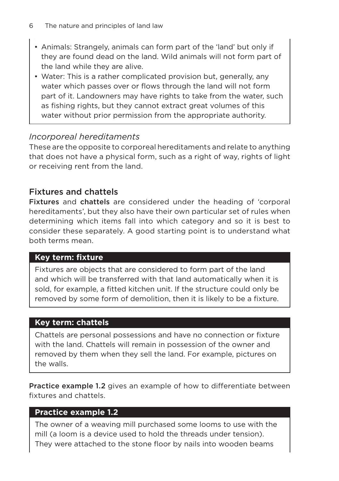- Animals: Strangely, animals can form part of the 'land' but only if they are found dead on the land. Wild animals will not form part of the land while they are alive.
- Water: This is a rather complicated provision but, generally, any water which passes over or flows through the land will not form part of it. Landowners may have rights to take from the water, such as fishing rights, but they cannot extract great volumes of this water without prior permission from the appropriate authority.

# *Incorporeal hereditaments*

These are the opposite to corporeal hereditaments and relate to anything that does not have a physical form, such as a right of way, rights of light or receiving rent from the land.

# Fixtures and chattels

Fixtures and chattels are considered under the heading of 'corporal hereditaments', but they also have their own particular set of rules when determining which items fall into which category and so it is best to consider these separately. A good starting point is to understand what both terms mean.

# **Key term: fixture**

Fixtures are objects that are considered to form part of the land and which will be transferred with that land automatically when it is sold, for example, a fitted kitchen unit. If the structure could only be removed by some form of demolition, then it is likely to be a fixture.

# **Key term: chattels**

Chattels are personal possessions and have no connection or fixture with the land. Chattels will remain in possession of the owner and removed by them when they sell the land. For example, pictures on the walls.

**Practice example 1.2** gives an example of how to differentiate between fixtures and chattels.

# **Practice example 1.2**

The owner of a weaving mill purchased some looms to use with the mill (a loom is a device used to hold the threads under tension). They were attached to the stone floor by nails into wooden beams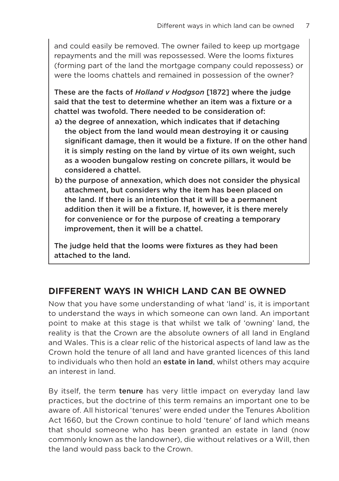and could easily be removed. The owner failed to keep up mortgage repayments and the mill was repossessed. Were the looms fixtures (forming part of the land the mortgage company could repossess) or were the looms chattels and remained in possession of the owner?

These are the facts of *Holland v Hodgson* [1872] where the judge said that the test to determine whether an item was a fixture or a chattel was twofold. There needed to be consideration of:

- a) the degree of annexation, which indicates that if detaching the object from the land would mean destroying it or causing significant damage, then it would be a fixture. If on the other hand it is simply resting on the land by virtue of its own weight, such as a wooden bungalow resting on concrete pillars, it would be considered a chattel.
- b) the purpose of annexation, which does not consider the physical attachment, but considers why the item has been placed on the land. If there is an intention that it will be a permanent addition then it will be a fixture. If, however, it is there merely for convenience or for the purpose of creating a temporary improvement, then it will be a chattel.

The judge held that the looms were fixtures as they had been attached to the land.

# **DIFFERENT WAYS IN WHICH LAND CAN BE OWNED**

Now that you have some understanding of what 'land' is, it is important to understand the ways in which someone can own land. An important point to make at this stage is that whilst we talk of 'owning' land, the reality is that the Crown are the absolute owners of all land in England and Wales. This is a clear relic of the historical aspects of land law as the Crown hold the tenure of all land and have granted licences of this land to individuals who then hold an **estate in land**, whilst others may acquire an interest in land.

By itself, the term tenure has very little impact on everyday land law practices, but the doctrine of this term remains an important one to be aware of. All historical 'tenures' were ended under the Tenures Abolition Act 1660, but the Crown continue to hold 'tenure' of land which means that should someone who has been granted an estate in land (now commonly known as the landowner), die without relatives or a Will, then the land would pass back to the Crown.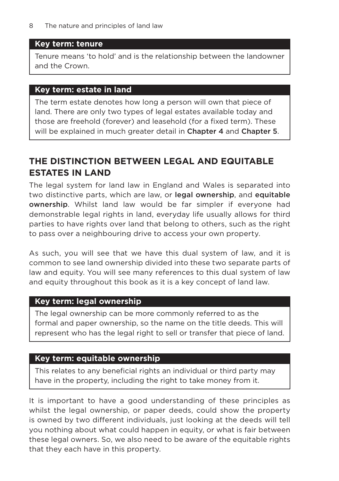#### **Key term: tenure**

Tenure means 'to hold' and is the relationship between the landowner and the Crown.

#### **Key term: estate in land**

The term estate denotes how long a person will own that piece of land. There are only two types of legal estates available today and those are freehold (forever) and leasehold (for a fixed term). These will be explained in much greater detail in Chapter 4 and Chapter 5.

# **THE DISTINCTION BETWEEN LEGAL AND EQUITABLE ESTATES IN LAND**

The legal system for land law in England and Wales is separated into two distinctive parts, which are law, or **legal ownership**, and **equitable** ownership. Whilst land law would be far simpler if everyone had demonstrable legal rights in land, everyday life usually allows for third parties to have rights over land that belong to others, such as the right to pass over a neighbouring drive to access your own property.

As such, you will see that we have this dual system of law, and it is common to see land ownership divided into these two separate parts of law and equity. You will see many references to this dual system of law and equity throughout this book as it is a key concept of land law.

#### **Key term: legal ownership**

The legal ownership can be more commonly referred to as the formal and paper ownership, so the name on the title deeds. This will represent who has the legal right to sell or transfer that piece of land.

#### **Key term: equitable ownership**

This relates to any beneficial rights an individual or third party may have in the property, including the right to take money from it.

It is important to have a good understanding of these principles as whilst the legal ownership, or paper deeds, could show the property is owned by two different individuals, just looking at the deeds will tell you nothing about what could happen in equity, or what is fair between these legal owners. So, we also need to be aware of the equitable rights that they each have in this property.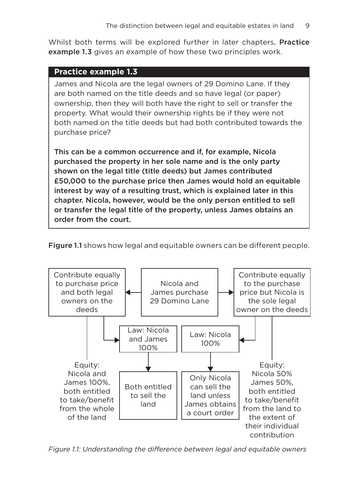Whilst both terms will be explored further in later chapters, **Practice** example 1.3 gives an example of how these two principles work.

#### **Practice example 1.3**

James and Nicola are the legal owners of 29 Domino Lane. If they are both named on the title deeds and so have legal (or paper) ownership, then they will both have the right to sell or transfer the property. What would their ownership rights be if they were not both named on the title deeds but had both contributed towards the purchase price?

This can be a common occurrence and if, for example, Nicola purchased the property in her sole name and is the only party shown on the legal title (title deeds) but James contributed £50,000 to the purchase price then James would hold an equitable interest by way of a resulting trust, which is explained later in this chapter. Nicola, however, would be the only person entitled to sell or transfer the legal title of the property, unless James obtains an order from the court.

Figure 1.1 shows how legal and equitable owners can be different people.



*Figure 1.1: Understanding the difference between legal and equitable owners*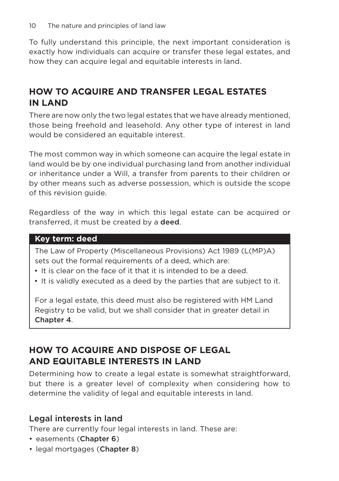To fully understand this principle, the next important consideration is exactly how individuals can acquire or transfer these legal estates, and how they can acquire legal and equitable interests in land.

# **HOW TO ACQUIRE AND TRANSFER LEGAL ESTATES IN LAND**

There are now only the two legal estates that we have already mentioned, those being freehold and leasehold. Any other type of interest in land would be considered an equitable interest.

The most common way in which someone can acquire the legal estate in land would be by one individual purchasing land from another individual or inheritance under a Will, a transfer from parents to their children or by other means such as adverse possession, which is outside the scope of this revision guide.

Regardless of the way in which this legal estate can be acquired or transferred, it must be created by a **deed**.

#### **Key term: deed**

The Law of Property (Miscellaneous Provisions) Act 1989 (L(MP)A) sets out the formal requirements of a deed, which are:

- It is clear on the face of it that it is intended to be a deed.
- It is validly executed as a deed by the parties that are subject to it.

For a legal estate, this deed must also be registered with HM Land Registry to be valid, but we shall consider that in greater detail in Chapter 4.

# **HOW TO ACQUIRE AND DISPOSE OF LEGAL AND EQUITABLE INTERESTS IN LAND**

Determining how to create a legal estate is somewhat straightforward, but there is a greater level of complexity when considering how to determine the validity of legal and equitable interests in land.

# Legal interests in land

There are currently four legal interests in land. These are:

- easements (Chapter 6)
- legal mortgages (Chapter 8)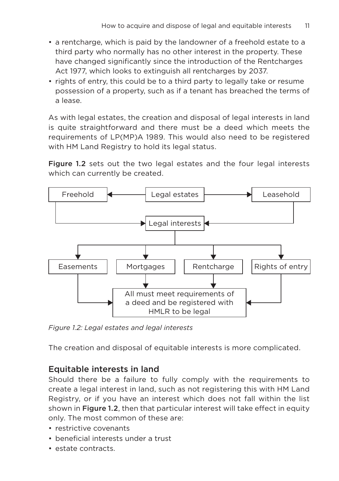- a rentcharge, which is paid by the landowner of a freehold estate to a third party who normally has no other interest in the property. These have changed significantly since the introduction of the Rentcharges Act 1977, which looks to extinguish all rentcharges by 2037.
- rights of entry, this could be to a third party to legally take or resume possession of a property, such as if a tenant has breached the terms of a lease.

As with legal estates, the creation and disposal of legal interests in land is quite straightforward and there must be a deed which meets the requirements of LP(MP)A 1989. This would also need to be registered with HM Land Registry to hold its legal status.

Figure 1.2 sets out the two legal estates and the four legal interests which can currently be created.



*Figure 1.2: Legal estates and legal interests*

The creation and disposal of equitable interests is more complicated.

# Equitable interests in land

Should there be a failure to fully comply with the requirements to create a legal interest in land, such as not registering this with HM Land Registry, or if you have an interest which does not fall within the list shown in Figure 1.2, then that particular interest will take effect in equity only. The most common of these are:

- restrictive covenants
- beneficial interests under a trust
- estate contracts.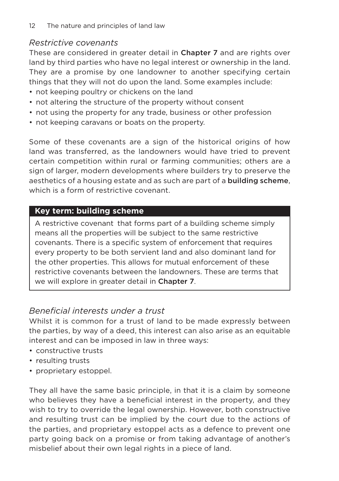# *Restrictive covenants*

These are considered in greater detail in **Chapter 7** and are rights over land by third parties who have no legal interest or ownership in the land. They are a promise by one landowner to another specifying certain things that they will not do upon the land. Some examples include:

- not keeping poultry or chickens on the land
- not altering the structure of the property without consent
- not using the property for any trade, business or other profession
- not keeping caravans or boats on the property.

Some of these covenants are a sign of the historical origins of how land was transferred, as the landowners would have tried to prevent certain competition within rural or farming communities; others are a sign of larger, modern developments where builders try to preserve the aesthetics of a housing estate and as such are part of a building scheme, which is a form of restrictive covenant.

# **Key term: building scheme**

A restrictive covenant that forms part of a building scheme simply means all the properties will be subject to the same restrictive covenants. There is a specific system of enforcement that requires every property to be both servient land and also dominant land for the other properties. This allows for mutual enforcement of these restrictive covenants between the landowners. These are terms that we will explore in greater detail in Chapter 7.

# *Beneficial interests under a trust*

Whilst it is common for a trust of land to be made expressly between the parties, by way of a deed, this interest can also arise as an equitable interest and can be imposed in law in three ways:

- constructive trusts
- resulting trusts
- proprietary estoppel.

They all have the same basic principle, in that it is a claim by someone who believes they have a beneficial interest in the property, and they wish to try to override the legal ownership. However, both constructive and resulting trust can be implied by the court due to the actions of the parties, and proprietary estoppel acts as a defence to prevent one party going back on a promise or from taking advantage of another's misbelief about their own legal rights in a piece of land.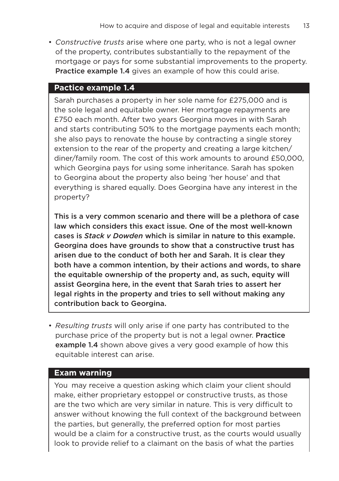• *Constructive trusts* arise where one party, who is not a legal owner of the property, contributes substantially to the repayment of the mortgage or pays for some substantial improvements to the property. Practice example 1.4 gives an example of how this could arise.

#### **Pactice example 1.4**

Sarah purchases a property in her sole name for £275,000 and is the sole legal and equitable owner. Her mortgage repayments are £750 each month. After two years Georgina moves in with Sarah and starts contributing 50% to the mortgage payments each month; she also pays to renovate the house by contracting a single storey extension to the rear of the property and creating a large kitchen/ diner/family room. The cost of this work amounts to around £50,000, which Georgina pays for using some inheritance. Sarah has spoken to Georgina about the property also being 'her house' and that everything is shared equally. Does Georgina have any interest in the property?

This is a very common scenario and there will be a plethora of case law which considers this exact issue. One of the most well-known cases is *Stack v Dowden* which is similar in nature to this example. Georgina does have grounds to show that a constructive trust has arisen due to the conduct of both her and Sarah. It is clear they both have a common intention, by their actions and words, to share the equitable ownership of the property and, as such, equity will assist Georgina here, in the event that Sarah tries to assert her legal rights in the property and tries to sell without making any contribution back to Georgina.

• *Resulting trusts* will only arise if one party has contributed to the purchase price of the property but is not a legal owner. **Practice** example 1.4 shown above gives a very good example of how this equitable interest can arise.

#### **Exam warning**

You may receive a question asking which claim your client should make, either proprietary estoppel or constructive trusts, as those are the two which are very similar in nature. This is very difficult to answer without knowing the full context of the background between the parties, but generally, the preferred option for most parties would be a claim for a constructive trust, as the courts would usually look to provide relief to a claimant on the basis of what the parties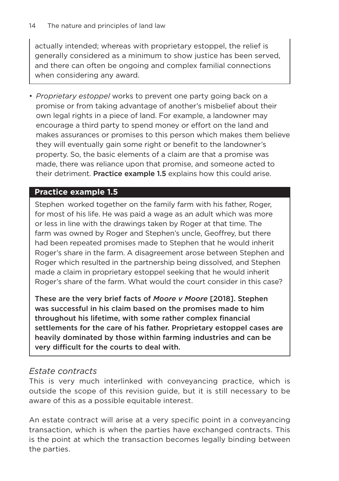actually intended; whereas with proprietary estoppel, the relief is generally considered as a minimum to show justice has been served, and there can often be ongoing and complex familial connections when considering any award.

• *Proprietary estoppel* works to prevent one party going back on a promise or from taking advantage of another's misbelief about their own legal rights in a piece of land. For example, a landowner may encourage a third party to spend money or effort on the land and makes assurances or promises to this person which makes them believe they will eventually gain some right or benefit to the landowner's property. So, the basic elements of a claim are that a promise was made, there was reliance upon that promise, and someone acted to their detriment. Practice example 1.5 explains how this could arise.

## **Practice example 1.5**

Stephen worked together on the family farm with his father, Roger, for most of his life. He was paid a wage as an adult which was more or less in line with the drawings taken by Roger at that time. The farm was owned by Roger and Stephen's uncle, Geoffrey, but there had been repeated promises made to Stephen that he would inherit Roger's share in the farm. A disagreement arose between Stephen and Roger which resulted in the partnership being dissolved, and Stephen made a claim in proprietary estoppel seeking that he would inherit Roger's share of the farm. What would the court consider in this case?

These are the very brief facts of *Moore v Moore* [2018]. Stephen was successful in his claim based on the promises made to him throughout his lifetime, with some rather complex financial settlements for the care of his father. Proprietary estoppel cases are heavily dominated by those within farming industries and can be very difficult for the courts to deal with.

#### *Estate contracts*

This is very much interlinked with conveyancing practice, which is outside the scope of this revision guide, but it is still necessary to be aware of this as a possible equitable interest.

An estate contract will arise at a very specific point in a conveyancing transaction, which is when the parties have exchanged contracts. This is the point at which the transaction becomes legally binding between the parties.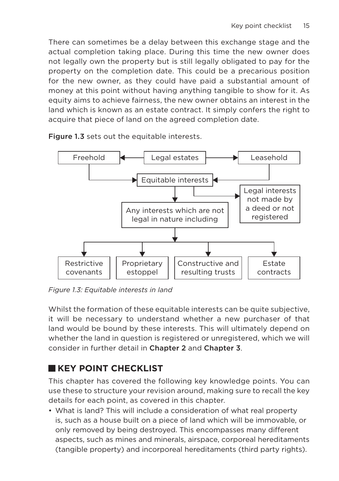There can sometimes be a delay between this exchange stage and the actual completion taking place. During this time the new owner does not legally own the property but is still legally obligated to pay for the property on the completion date. This could be a precarious position for the new owner, as they could have paid a substantial amount of money at this point without having anything tangible to show for it. As equity aims to achieve fairness, the new owner obtains an interest in the land which is known as an estate contract. It simply confers the right to acquire that piece of land on the agreed completion date.



Figure 1.3 sets out the equitable interests.

*Figure 1.3: Equitable interests in land*

Whilst the formation of these equitable interests can be quite subjective, it will be necessary to understand whether a new purchaser of that land would be bound by these interests. This will ultimately depend on whether the land in question is registered or unregistered, which we will consider in further detail in Chapter 2 and Chapter 3.

# **KEY POINT CHECKLIST**

This chapter has covered the following key knowledge points. You can use these to structure your revision around, making sure to recall the key details for each point, as covered in this chapter.

• What is land? This will include a consideration of what real property is, such as a house built on a piece of land which will be immovable, or only removed by being destroyed. This encompasses many different aspects, such as mines and minerals, airspace, corporeal hereditaments (tangible property) and incorporeal hereditaments (third party rights).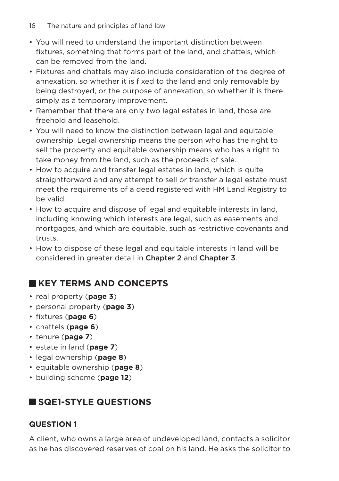- You will need to understand the important distinction between fixtures, something that forms part of the land, and chattels, which can be removed from the land.
- Fixtures and chattels may also include consideration of the degree of annexation, so whether it is fixed to the land and only removable by being destroyed, or the purpose of annexation, so whether it is there simply as a temporary improvement.
- Remember that there are only two legal estates in land, those are freehold and leasehold.
- You will need to know the distinction between legal and equitable ownership. Legal ownership means the person who has the right to sell the property and equitable ownership means who has a right to take money from the land, such as the proceeds of sale.
- How to acquire and transfer legal estates in land, which is quite straightforward and any attempt to sell or transfer a legal estate must meet the requirements of a deed registered with HM Land Registry to be valid.
- How to acquire and dispose of legal and equitable interests in land, including knowing which interests are legal, such as easements and mortgages, and which are equitable, such as restrictive covenants and trusts.
- How to dispose of these legal and equitable interests in land will be considered in greater detail in Chapter 2 and Chapter 3.

# **KEY TERMS AND CONCEPTS**

- real property (**page 3**)
- personal property (**page 3**)
- fixtures (**page 6**)
- chattels (**page 6**)
- tenure (**page 7**)
- estate in land (**page 7**)
- legal ownership (**page 8**)
- equitable ownership (**page 8**)
- building scheme (**page 12**)

# **SQE1-STYLE QUESTIONS**

# **QUESTION 1**

A client, who owns a large area of undeveloped land, contacts a solicitor as he has discovered reserves of coal on his land. He asks the solicitor to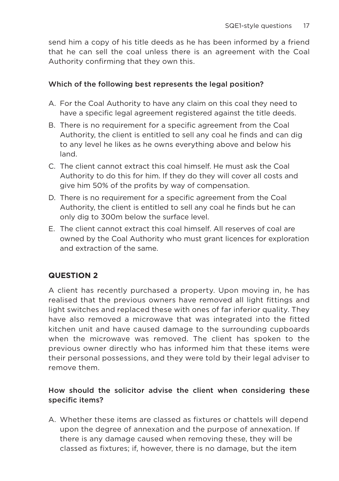send him a copy of his title deeds as he has been informed by a friend that he can sell the coal unless there is an agreement with the Coal Authority confirming that they own this.

#### Which of the following best represents the legal position?

- A. For the Coal Authority to have any claim on this coal they need to have a specific legal agreement registered against the title deeds.
- B. There is no requirement for a specific agreement from the Coal Authority, the client is entitled to sell any coal he finds and can dig to any level he likes as he owns everything above and below his land.
- C. The client cannot extract this coal himself. He must ask the Coal Authority to do this for him. If they do they will cover all costs and give him 50% of the profits by way of compensation.
- D. There is no requirement for a specific agreement from the Coal Authority, the client is entitled to sell any coal he finds but he can only dig to 300m below the surface level.
- E. The client cannot extract this coal himself. All reserves of coal are owned by the Coal Authority who must grant licences for exploration and extraction of the same.

# **QUESTION 2**

A client has recently purchased a property. Upon moving in, he has realised that the previous owners have removed all light fittings and light switches and replaced these with ones of far inferior quality. They have also removed a microwave that was integrated into the fitted kitchen unit and have caused damage to the surrounding cupboards when the microwave was removed. The client has spoken to the previous owner directly who has informed him that these items were their personal possessions, and they were told by their legal adviser to remove them.

## How should the solicitor advise the client when considering these specific items?

A. Whether these items are classed as fixtures or chattels will depend upon the degree of annexation and the purpose of annexation. If there is any damage caused when removing these, they will be classed as fixtures; if, however, there is no damage, but the item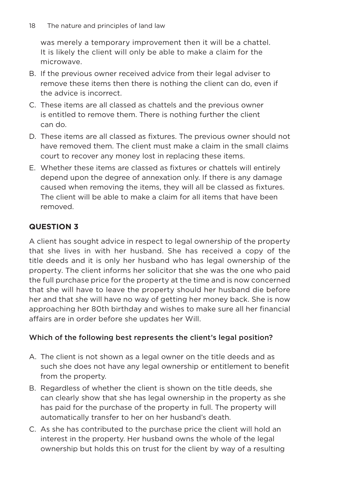was merely a temporary improvement then it will be a chattel. It is likely the client will only be able to make a claim for the microwave.

- B. If the previous owner received advice from their legal adviser to remove these items then there is nothing the client can do, even if the advice is incorrect.
- C. These items are all classed as chattels and the previous owner is entitled to remove them. There is nothing further the client can do.
- D. These items are all classed as fixtures. The previous owner should not have removed them. The client must make a claim in the small claims court to recover any money lost in replacing these items.
- E. Whether these items are classed as fixtures or chattels will entirely depend upon the degree of annexation only. If there is any damage caused when removing the items, they will all be classed as fixtures. The client will be able to make a claim for all items that have been removed.

# **QUESTION 3**

A client has sought advice in respect to legal ownership of the property that she lives in with her husband. She has received a copy of the title deeds and it is only her husband who has legal ownership of the property. The client informs her solicitor that she was the one who paid the full purchase price for the property at the time and is now concerned that she will have to leave the property should her husband die before her and that she will have no way of getting her money back. She is now approaching her 80th birthday and wishes to make sure all her financial affairs are in order before she updates her Will.

#### Which of the following best represents the client's legal position?

- A. The client is not shown as a legal owner on the title deeds and as such she does not have any legal ownership or entitlement to benefit from the property.
- B. Regardless of whether the client is shown on the title deeds, she can clearly show that she has legal ownership in the property as she has paid for the purchase of the property in full. The property will automatically transfer to her on her husband's death.
- C. As she has contributed to the purchase price the client will hold an interest in the property. Her husband owns the whole of the legal ownership but holds this on trust for the client by way of a resulting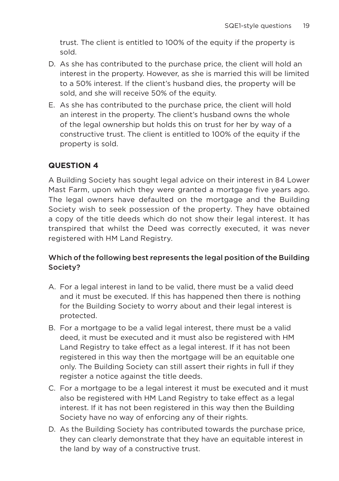trust. The client is entitled to 100% of the equity if the property is sold.

- D. As she has contributed to the purchase price, the client will hold an interest in the property. However, as she is married this will be limited to a 50% interest. If the client's husband dies, the property will be sold, and she will receive 50% of the equity.
- E. As she has contributed to the purchase price, the client will hold an interest in the property. The client's husband owns the whole of the legal ownership but holds this on trust for her by way of a constructive trust. The client is entitled to 100% of the equity if the property is sold.

# **QUESTION 4**

A Building Society has sought legal advice on their interest in 84 Lower Mast Farm, upon which they were granted a mortgage five years ago. The legal owners have defaulted on the mortgage and the Building Society wish to seek possession of the property. They have obtained a copy of the title deeds which do not show their legal interest. It has transpired that whilst the Deed was correctly executed, it was never registered with HM Land Registry.

# Which of the following best represents the legal position of the Building Society?

- A. For a legal interest in land to be valid, there must be a valid deed and it must be executed. If this has happened then there is nothing for the Building Society to worry about and their legal interest is protected.
- B. For a mortgage to be a valid legal interest, there must be a valid deed, it must be executed and it must also be registered with HM Land Registry to take effect as a legal interest. If it has not been registered in this way then the mortgage will be an equitable one only. The Building Society can still assert their rights in full if they register a notice against the title deeds.
- C. For a mortgage to be a legal interest it must be executed and it must also be registered with HM Land Registry to take effect as a legal interest. If it has not been registered in this way then the Building Society have no way of enforcing any of their rights.
- D. As the Building Society has contributed towards the purchase price, they can clearly demonstrate that they have an equitable interest in the land by way of a constructive trust.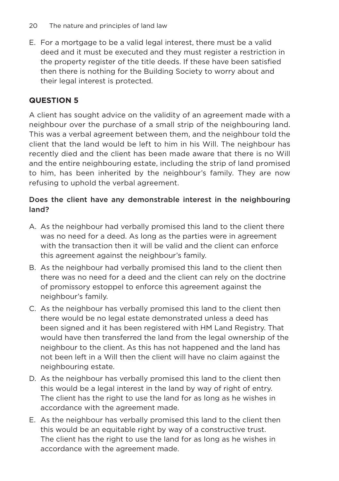E. For a mortgage to be a valid legal interest, there must be a valid deed and it must be executed and they must register a restriction in the property register of the title deeds. If these have been satisfied then there is nothing for the Building Society to worry about and their legal interest is protected.

# **QUESTION 5**

A client has sought advice on the validity of an agreement made with a neighbour over the purchase of a small strip of the neighbouring land. This was a verbal agreement between them, and the neighbour told the client that the land would be left to him in his Will. The neighbour has recently died and the client has been made aware that there is no Will and the entire neighbouring estate, including the strip of land promised to him, has been inherited by the neighbour's family. They are now refusing to uphold the verbal agreement.

#### Does the client have any demonstrable interest in the neighbouring land?

- A. As the neighbour had verbally promised this land to the client there was no need for a deed. As long as the parties were in agreement with the transaction then it will be valid and the client can enforce this agreement against the neighbour's family.
- B. As the neighbour had verbally promised this land to the client then there was no need for a deed and the client can rely on the doctrine of promissory estoppel to enforce this agreement against the neighbour's family.
- C. As the neighbour has verbally promised this land to the client then there would be no legal estate demonstrated unless a deed has been signed and it has been registered with HM Land Registry. That would have then transferred the land from the legal ownership of the neighbour to the client. As this has not happened and the land has not been left in a Will then the client will have no claim against the neighbouring estate.
- D. As the neighbour has verbally promised this land to the client then this would be a legal interest in the land by way of right of entry. The client has the right to use the land for as long as he wishes in accordance with the agreement made.
- E. As the neighbour has verbally promised this land to the client then this would be an equitable right by way of a constructive trust. The client has the right to use the land for as long as he wishes in accordance with the agreement made.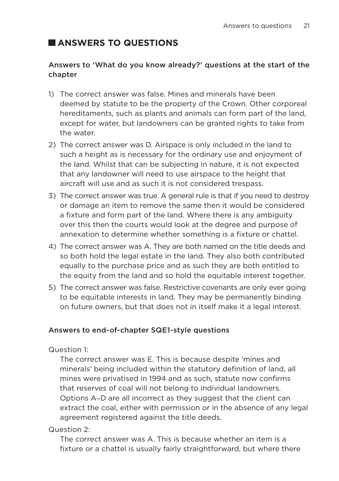# **ANSWERS TO QUESTIONS**

#### Answers to 'What do you know already?' questions at the start of the chapter

- 1) The correct answer was false. Mines and minerals have been deemed by statute to be the property of the Crown. Other corporeal hereditaments, such as plants and animals can form part of the land, except for water, but landowners can be granted rights to take from the water.
- 2) The correct answer was D. Airspace is only included in the land to such a height as is necessary for the ordinary use and enjoyment of the land. Whilst that can be subjecting in nature, it is not expected that any landowner will need to use airspace to the height that aircraft will use and as such it is not considered trespass.
- 3) The correct answer was true. A general rule is that if you need to destroy or damage an item to remove the same then it would be considered a fixture and form part of the land. Where there is any ambiguity over this then the courts would look at the degree and purpose of annexation to determine whether something is a fixture or chattel.
- 4) The correct answer was A. They are both named on the title deeds and so both hold the legal estate in the land. They also both contributed equally to the purchase price and as such they are both entitled to the equity from the land and so hold the equitable interest together.
- 5) The correct answer was false. Restrictive covenants are only ever going to be equitable interests in land. They may be permanently binding on future owners, but that does not in itself make it a legal interest.

#### Answers to end-of-chapter SQE1-style questions

Question 1:

The correct answer was E. This is because despite 'mines and minerals' being included within the statutory definition of land, all mines were privatised in 1994 and as such, statute now confirms that reserves of coal will not belong to individual landowners. Options A-D are all incorrect as they suggest that the client can extract the coal, either with permission or in the absence of any legal agreement registered against the title deeds.

# Question 2:

The correct answer was A. This is because whether an item is a fixture or a chattel is usually fairly straightforward, but where there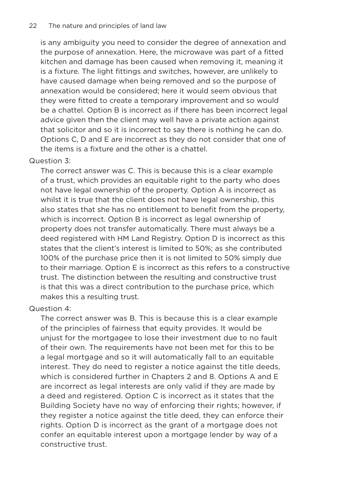is any ambiguity you need to consider the degree of annexation and the purpose of annexation. Here, the microwave was part of a fitted kitchen and damage has been caused when removing it, meaning it is a fixture. The light fittings and switches, however, are unlikely to have caused damage when being removed and so the purpose of annexation would be considered; here it would seem obvious that they were fitted to create a temporary improvement and so would be a chattel. Option B is incorrect as if there has been incorrect legal advice given then the client may well have a private action against that solicitor and so it is incorrect to say there is nothing he can do. Options C, D and E are incorrect as they do not consider that one of the items is a fixture and the other is a chattel.

#### Question 3:

The correct answer was C. This is because this is a clear example of a trust, which provides an equitable right to the party who does not have legal ownership of the property. Option A is incorrect as whilst it is true that the client does not have legal ownership, this also states that she has no entitlement to benefit from the property, which is incorrect. Option B is incorrect as legal ownership of property does not transfer automatically. There must always be a deed registered with HM Land Registry. Option D is incorrect as this states that the client's interest is limited to 50%; as she contributed 100% of the purchase price then it is not limited to 50% simply due to their marriage. Option E is incorrect as this refers to a constructive trust. The distinction between the resulting and constructive trust is that this was a direct contribution to the purchase price, which makes this a resulting trust.

#### Question 4:

The correct answer was B. This is because this is a clear example of the principles of fairness that equity provides. It would be unjust for the mortgagee to lose their investment due to no fault of their own. The requirements have not been met for this to be a legal mortgage and so it will automatically fall to an equitable interest. They do need to register a notice against the title deeds, which is considered further in Chapters 2 and 8. Options A and E are incorrect as legal interests are only valid if they are made by a deed and registered. Option C is incorrect as it states that the Building Society have no way of enforcing their rights; however, if they register a notice against the title deed, they can enforce their rights. Option D is incorrect as the grant of a mortgage does not confer an equitable interest upon a mortgage lender by way of a constructive trust.